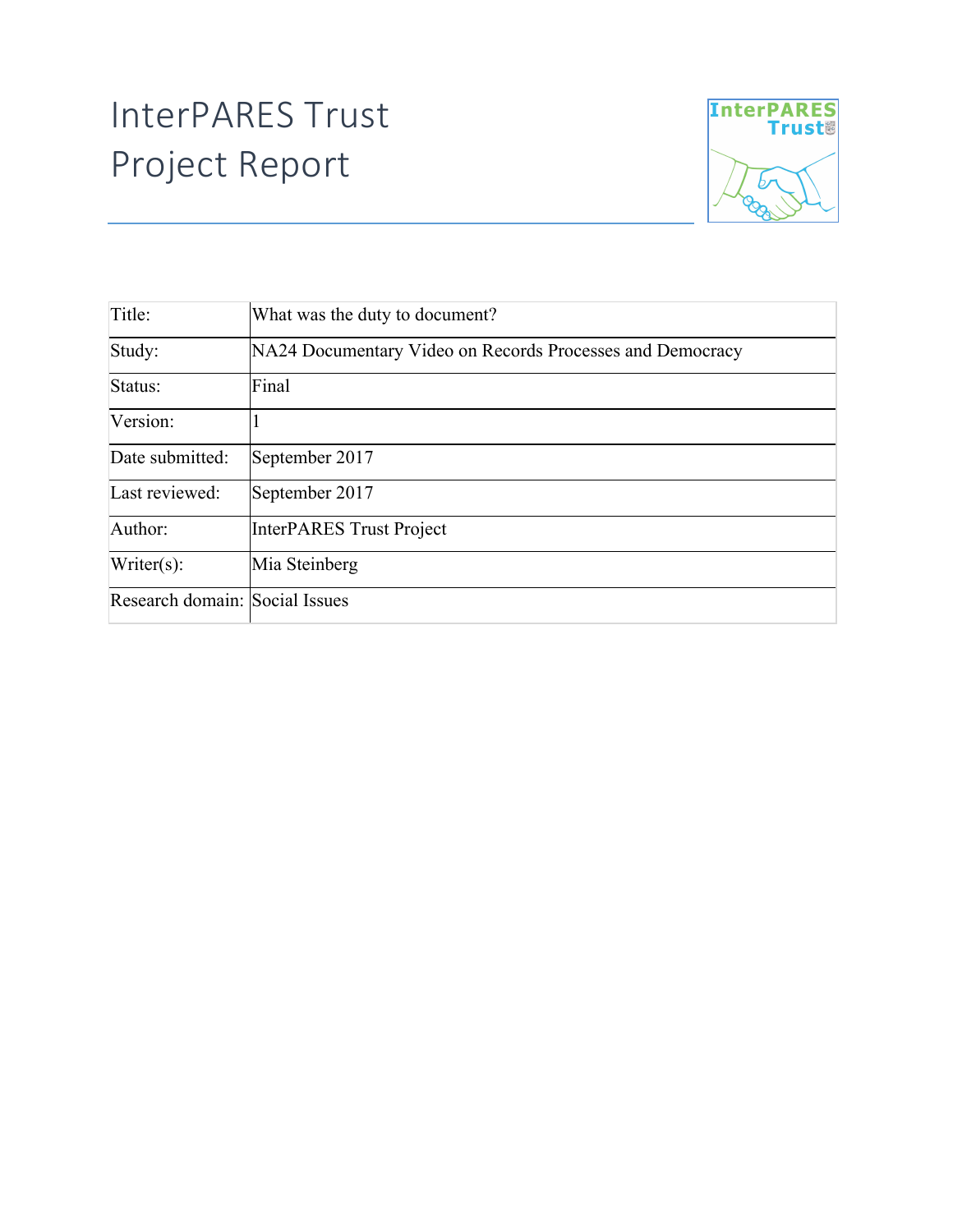## InterPARES Trust Project Report



| Title:                         | What was the duty to document?                            |
|--------------------------------|-----------------------------------------------------------|
| Study:                         | NA24 Documentary Video on Records Processes and Democracy |
| Status:                        | Final                                                     |
| Version:                       |                                                           |
| Date submitted:                | September 2017                                            |
| Last reviewed:                 | September 2017                                            |
| Author:                        | <b>InterPARES Trust Project</b>                           |
| $Writer(s)$ :                  | Mia Steinberg                                             |
| Research domain: Social Issues |                                                           |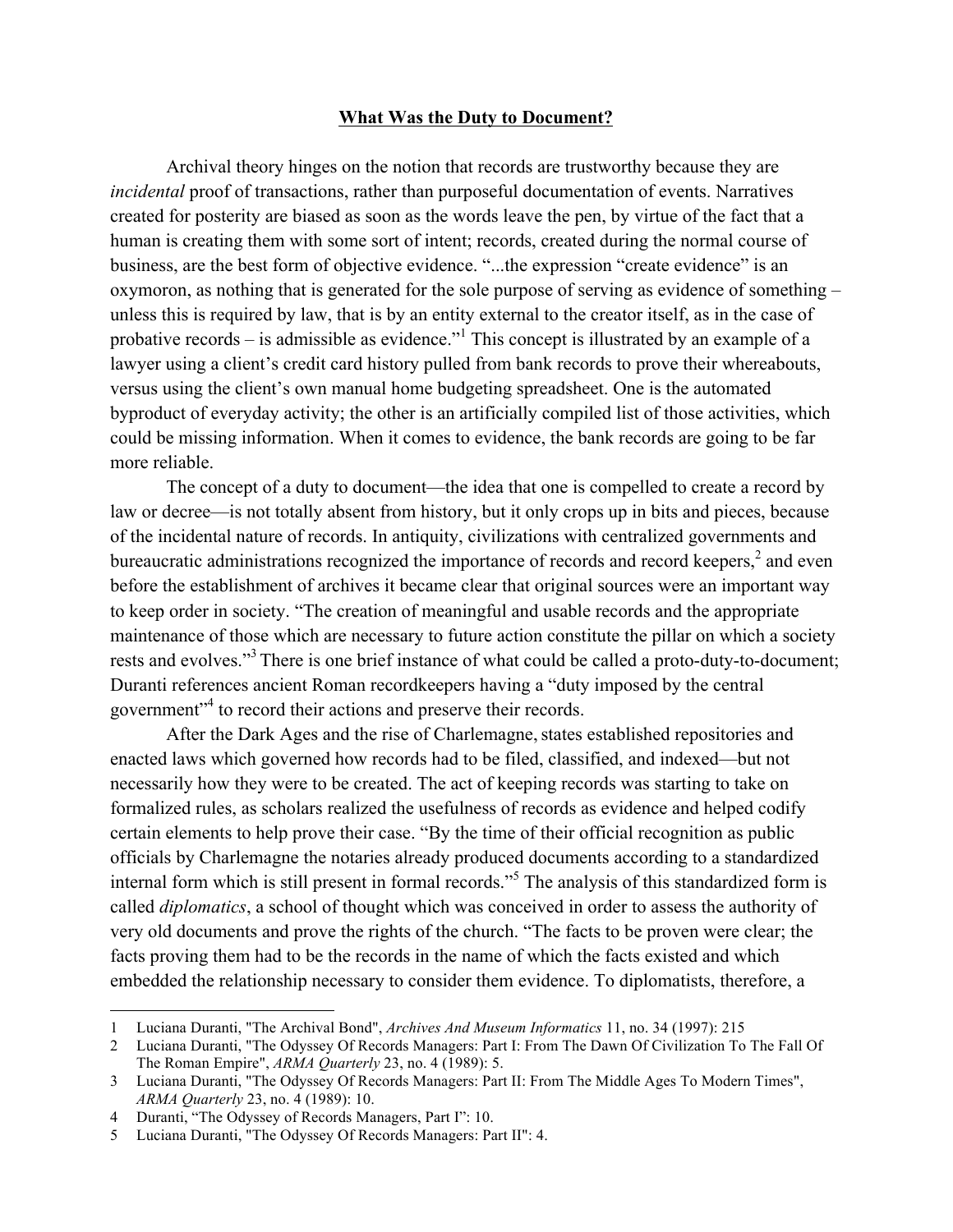## **What Was the Duty to Document?**

Archival theory hinges on the notion that records are trustworthy because they are *incidental* proof of transactions, rather than purposeful documentation of events. Narratives created for posterity are biased as soon as the words leave the pen, by virtue of the fact that a human is creating them with some sort of intent; records, created during the normal course of business, are the best form of objective evidence. "...the expression "create evidence" is an oxymoron, as nothing that is generated for the sole purpose of serving as evidence of something – unless this is required by law, that is by an entity external to the creator itself, as in the case of probative records – is admissible as evidence.<sup> $n<sup>1</sup>$ </sup> This concept is illustrated by an example of a lawyer using a client's credit card history pulled from bank records to prove their whereabouts, versus using the client's own manual home budgeting spreadsheet. One is the automated byproduct of everyday activity; the other is an artificially compiled list of those activities, which could be missing information. When it comes to evidence, the bank records are going to be far more reliable.

The concept of a duty to document—the idea that one is compelled to create a record by law or decree—is not totally absent from history, but it only crops up in bits and pieces, because of the incidental nature of records. In antiquity, civilizations with centralized governments and bureaucratic administrations recognized the importance of records and record keepers,<sup>2</sup> and even before the establishment of archives it became clear that original sources were an important way to keep order in society. "The creation of meaningful and usable records and the appropriate maintenance of those which are necessary to future action constitute the pillar on which a society rests and evolves."<sup>3</sup> There is one brief instance of what could be called a proto-duty-to-document; Duranti references ancient Roman recordkeepers having a "duty imposed by the central government<sup>"4</sup> to record their actions and preserve their records.

After the Dark Ages and the rise of Charlemagne, states established repositories and enacted laws which governed how records had to be filed, classified, and indexed—but not necessarily how they were to be created. The act of keeping records was starting to take on formalized rules, as scholars realized the usefulness of records as evidence and helped codify certain elements to help prove their case. "By the time of their official recognition as public officials by Charlemagne the notaries already produced documents according to a standardized internal form which is still present in formal records."<sup>5</sup> The analysis of this standardized form is called *diplomatics*, a school of thought which was conceived in order to assess the authority of very old documents and prove the rights of the church. "The facts to be proven were clear; the facts proving them had to be the records in the name of which the facts existed and which embedded the relationship necessary to consider them evidence. To diplomatists, therefore, a

l

<sup>1</sup> Luciana Duranti, "The Archival Bond", *Archives And Museum Informatics* 11, no. 34 (1997): 215

<sup>2</sup> Luciana Duranti, "The Odyssey Of Records Managers: Part I: From The Dawn Of Civilization To The Fall Of The Roman Empire", *ARMA Quarterly* 23, no. 4 (1989): 5.

<sup>3</sup> Luciana Duranti, "The Odyssey Of Records Managers: Part II: From The Middle Ages To Modern Times", *ARMA Quarterly* 23, no. 4 (1989): 10.

<sup>4</sup> Duranti, "The Odyssey of Records Managers, Part I": 10.

<sup>5</sup> Luciana Duranti, "The Odyssey Of Records Managers: Part II": 4.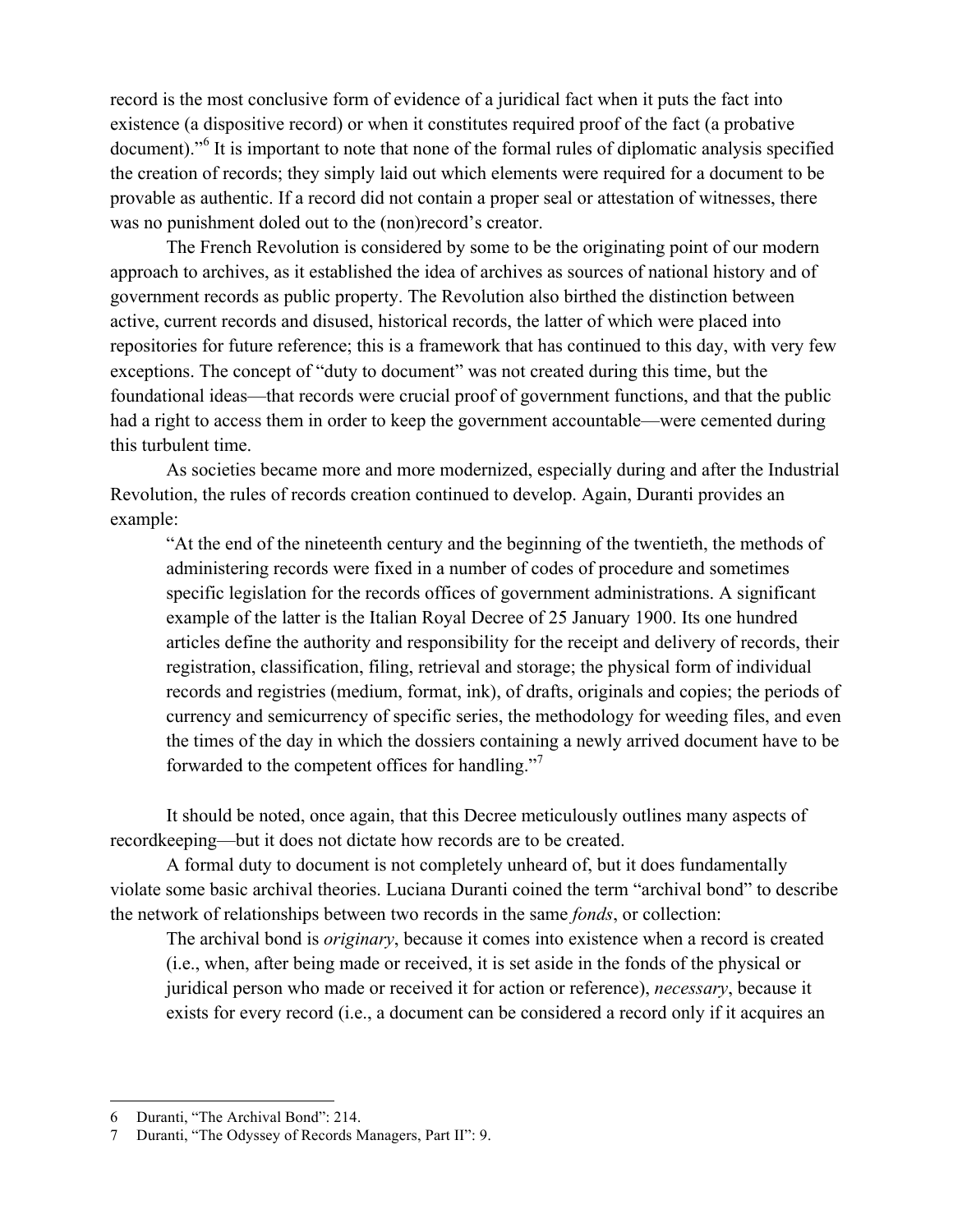record is the most conclusive form of evidence of a juridical fact when it puts the fact into existence (a dispositive record) or when it constitutes required proof of the fact (a probative document).<sup>"6</sup> It is important to note that none of the formal rules of diplomatic analysis specified the creation of records; they simply laid out which elements were required for a document to be provable as authentic. If a record did not contain a proper seal or attestation of witnesses, there was no punishment doled out to the (non)record's creator.

The French Revolution is considered by some to be the originating point of our modern approach to archives, as it established the idea of archives as sources of national history and of government records as public property. The Revolution also birthed the distinction between active, current records and disused, historical records, the latter of which were placed into repositories for future reference; this is a framework that has continued to this day, with very few exceptions. The concept of "duty to document" was not created during this time, but the foundational ideas—that records were crucial proof of government functions, and that the public had a right to access them in order to keep the government accountable—were cemented during this turbulent time.

As societies became more and more modernized, especially during and after the Industrial Revolution, the rules of records creation continued to develop. Again, Duranti provides an example:

"At the end of the nineteenth century and the beginning of the twentieth, the methods of administering records were fixed in a number of codes of procedure and sometimes specific legislation for the records offices of government administrations. A significant example of the latter is the Italian Royal Decree of 25 January 1900. Its one hundred articles define the authority and responsibility for the receipt and delivery of records, their registration, classification, filing, retrieval and storage; the physical form of individual records and registries (medium, format, ink), of drafts, originals and copies; the periods of currency and semicurrency of specific series, the methodology for weeding files, and even the times of the day in which the dossiers containing a newly arrived document have to be forwarded to the competent offices for handling."<sup>7</sup>

It should be noted, once again, that this Decree meticulously outlines many aspects of recordkeeping—but it does not dictate how records are to be created.

A formal duty to document is not completely unheard of, but it does fundamentally violate some basic archival theories. Luciana Duranti coined the term "archival bond" to describe the network of relationships between two records in the same *fonds*, or collection:

The archival bond is *originary*, because it comes into existence when a record is created (i.e., when, after being made or received, it is set aside in the fonds of the physical or juridical person who made or received it for action or reference), *necessary*, because it exists for every record (i.e., a document can be considered a record only if it acquires an

l

<sup>6</sup> Duranti, "The Archival Bond": 214.

<sup>7</sup> Duranti, "The Odyssey of Records Managers, Part II": 9.